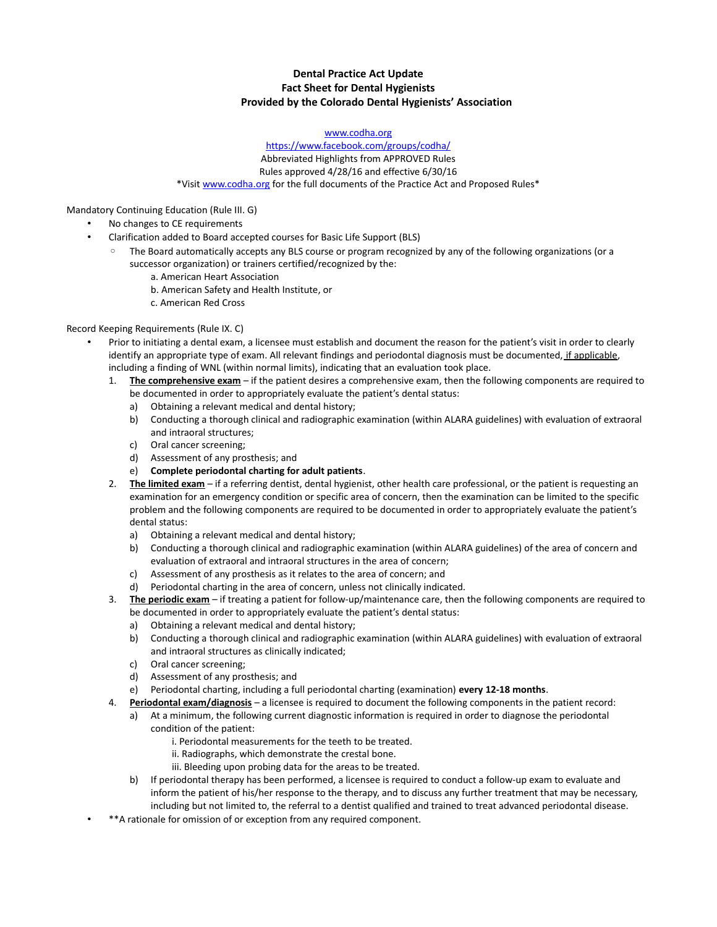# **Dental Practice Act Update Fact Sheet for Dental Hygienists Provided by the Colorado Dental Hygienists' Association**

#### [www.codha.org](http://www.codha.org/)

### <https://www.facebook.com/groups/codha/> Abbreviated Highlights from APPROVED Rules Rules approved 4/28/16 and effective 6/30/16 \*Visit [www.codha.org](http://www.codha.org/) for the full documents of the Practice Act and Proposed Rules\*

Mandatory Continuing Education (Rule III. G)

- No changes to CE requirements
	- Clarification added to Board accepted courses for Basic Life Support (BLS)
		- The Board automatically accepts any BLS course or program recognized by any of the following organizations (or a successor organization) or trainers certified/recognized by the:
			- a. American Heart Association
			- b. American Safety and Health Institute, or
			- c. American Red Cross

## Record Keeping Requirements (Rule IX. C)

- Prior to initiating a dental exam, a licensee must establish and document the reason for the patient's visit in order to clearly identify an appropriate type of exam. All relevant findings and periodontal diagnosis must be documented, if applicable, including a finding of WNL (within normal limits), indicating that an evaluation took place.
	- 1. **The comprehensive exam** if the patient desires a comprehensive exam, then the following components are required to be documented in order to appropriately evaluate the patient's dental status:
		- a) Obtaining a relevant medical and dental history;
		- b) Conducting a thorough clinical and radiographic examination (within ALARA guidelines) with evaluation of extraoral and intraoral structures;
		- c) Oral cancer screening;
		- d) Assessment of any prosthesis; and
		- e) **Complete periodontal charting for adult patients**.
	- 2. **The limited exam** if a referring dentist, dental hygienist, other health care professional, or the patient is requesting an examination for an emergency condition or specific area of concern, then the examination can be limited to the specific problem and the following components are required to be documented in order to appropriately evaluate the patient's dental status:
		- a) Obtaining a relevant medical and dental history;
		- b) Conducting a thorough clinical and radiographic examination (within ALARA guidelines) of the area of concern and evaluation of extraoral and intraoral structures in the area of concern;
		- c) Assessment of any prosthesis as it relates to the area of concern; and
		- d) Periodontal charting in the area of concern, unless not clinically indicated.
	- 3. **The periodic exam** if treating a patient for follow-up/maintenance care, then the following components are required to be documented in order to appropriately evaluate the patient's dental status:
		- a) Obtaining a relevant medical and dental history;
		- b) Conducting a thorough clinical and radiographic examination (within ALARA guidelines) with evaluation of extraoral and intraoral structures as clinically indicated;
		- c) Oral cancer screening;
		- d) Assessment of any prosthesis; and
		- e) Periodontal charting, including a full periodontal charting (examination) **every 12-18 months**.
	- 4. **Periodontal exam/diagnosis** a licensee is required to document the following components in the patient record:
		- a) At a minimum, the following current diagnostic information is required in order to diagnose the periodontal condition of the patient:
			- i. Periodontal measurements for the teeth to be treated.
			- ii. Radiographs, which demonstrate the crestal bone.
			- iii. Bleeding upon probing data for the areas to be treated.
			- b) If periodontal therapy has been performed, a licensee is required to conduct a follow-up exam to evaluate and inform the patient of his/her response to the therapy, and to discuss any further treatment that may be necessary, including but not limited to, the referral to a dentist qualified and trained to treat advanced periodontal disease.
- \*\*A rationale for omission of or exception from any required component.